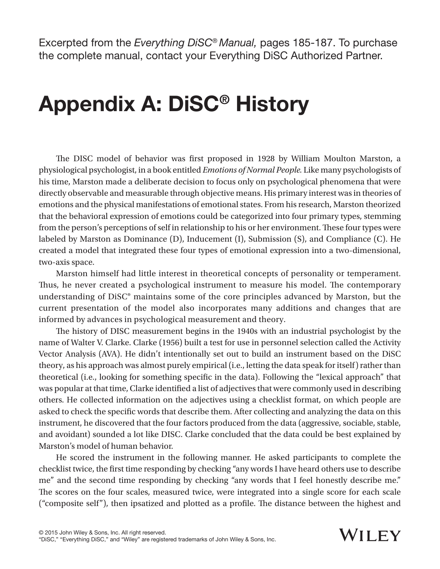Excerpted from the *Everything DiSC® Manual,* pages 185-187. To purchase the complete manual, contact your Everything DiSC Authorized Partner.

## Appendix A: DiSC® History

The DISC model of behavior was first proposed in 1928 by William Moulton Marston, a physiological psychologist, in a book entitled *Emotions of Normal People.* Like many psychologists of his time, Marston made a deliberate decision to focus only on psychological phenomena that were directly observable and measurable through objective means. His primary interest was in theories of emotions and the physical manifestations of emotional states. From his research, Marston theorized that the behavioral expression of emotions could be categorized into four primary types, stemming from the person's perceptions of self in relationship to his or her environment. These four types were labeled by Marston as Dominance (D), Inducement (I), Submission (S), and Compliance (C). He created a model that integrated these four types of emotional expression into a two-dimensional, two-axis space.

Marston himself had little interest in theoretical concepts of personality or temperament. Thus, he never created a psychological instrument to measure his model. The contemporary understanding of DiSC® maintains some of the core principles advanced by Marston, but the current presentation of the model also incorporates many additions and changes that are informed by advances in psychological measurement and theory.

The history of DISC measurement begins in the 1940s with an industrial psychologist by the name of Walter V. Clarke. Clarke (1956) built a test for use in personnel selection called the Activity Vector Analysis (AVA). He didn't intentionally set out to build an instrument based on the DiSC theory, as his approach was almost purely empirical (i.e., letting the data speak for itself) rather than theoretical (i.e., looking for something specific in the data). Following the "lexical approach" that was popular at that time, Clarke identified a list of adjectives that were commonly used in describing others. He collected information on the adjectives using a checklist format, on which people are asked to check the specific words that describe them. After collecting and analyzing the data on this instrument, he discovered that the four factors produced from the data (aggressive, sociable, stable, and avoidant) sounded a lot like DISC. Clarke concluded that the data could be best explained by Marston's model of human behavior.

He scored the instrument in the following manner. He asked participants to complete the checklist twice, the first time responding by checking "any words I have heard others use to describe me" and the second time responding by checking "any words that I feel honestly describe me." The scores on the four scales, measured twice, were integrated into a single score for each scale ("composite self"), then ipsatized and plotted as a profile. The distance between the highest and